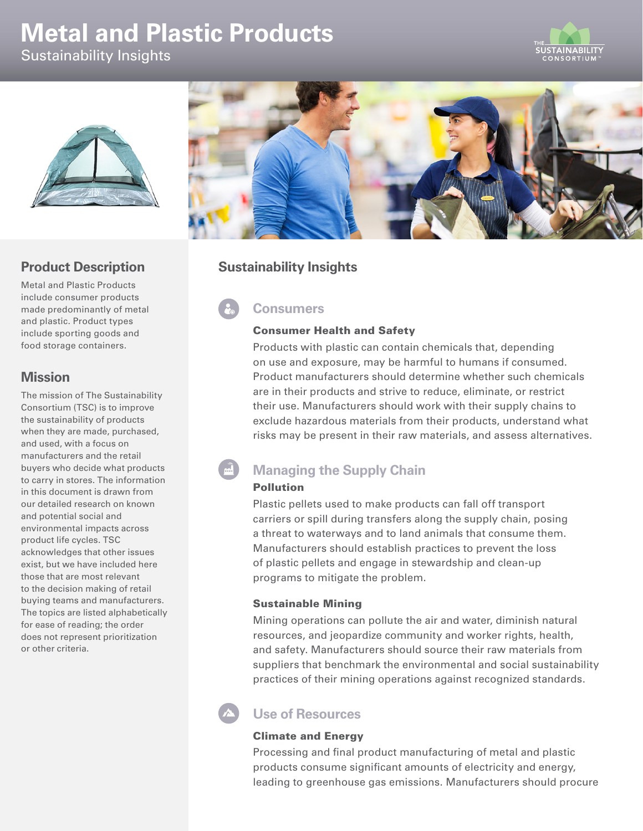# **Metal and Plastic Products**

Sustainability Insights





## **Product Description**

Metal and Plastic Products include consumer products made predominantly of metal and plastic. Product types include sporting goods and food storage containers.

## **Mission**

The mission of The Sustainability Consortium (TSC) is to improve the sustainability of products when they are made, purchased, and used, with a focus on manufacturers and the retail buyers who decide what products to carry in stores. The information in this document is drawn from our detailed research on known and potential social and environmental impacts across product life cycles. TSC acknowledges that other issues exist, but we have included here those that are most relevant to the decision making of retail buying teams and manufacturers. The topics are listed alphabetically for ease of reading; the order does not represent prioritization or other criteria.



## **Sustainability Insights**

# **Consumers**

## Consumer Health and Safety

Products with plastic can contain chemicals that, depending on use and exposure, may be harmful to humans if consumed. Product manufacturers should determine whether such chemicals are in their products and strive to reduce, eliminate, or restrict their use. Manufacturers should work with their supply chains to exclude hazardous materials from their products, understand what risks may be present in their raw materials, and assess alternatives.

# **Managing the Supply Chain**

### Pollution

Plastic pellets used to make products can fall off transport carriers or spill during transfers along the supply chain, posing a threat to waterways and to land animals that consume them. Manufacturers should establish practices to prevent the loss of plastic pellets and engage in stewardship and clean-up programs to mitigate the problem.

### Sustainable Mining

Mining operations can pollute the air and water, diminish natural resources, and jeopardize community and worker rights, health, and safety. Manufacturers should source their raw materials from suppliers that benchmark the environmental and social sustainability practices of their mining operations against recognized standards.

## **Use of Resources**

### Climate and Energy

Processing and final product manufacturing of metal and plastic products consume significant amounts of electricity and energy, leading to greenhouse gas emissions. Manufacturers should procure